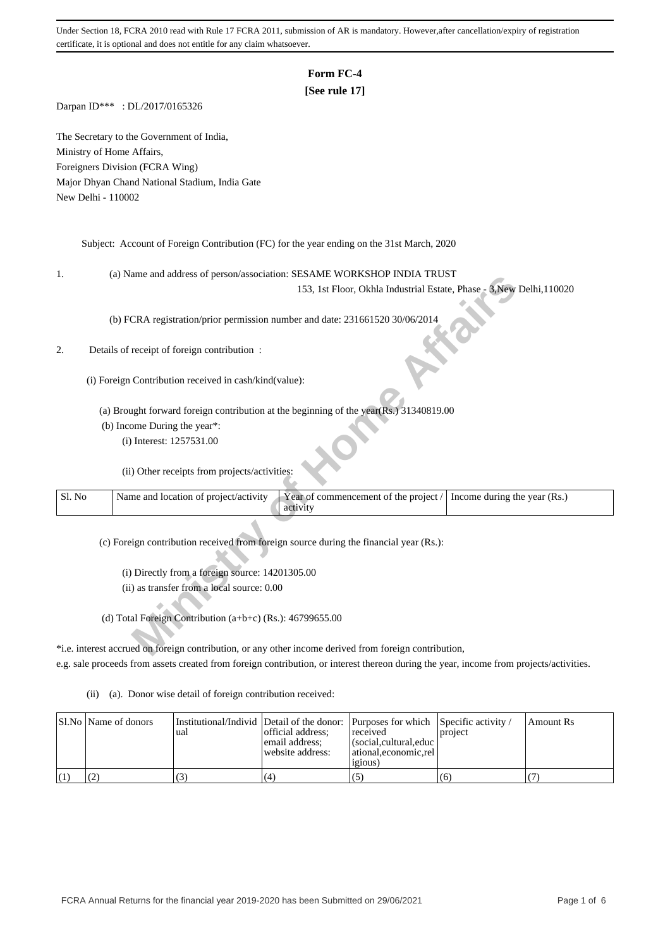# **Form FC-4**

## **[See rule 17]**

Darpan ID\*\*\* : DL/2017/0165326

The Secretary to the Government of India, Ministry of Home Affairs, Foreigners Division (FCRA Wing) Major Dhyan Chand National Stadium, India Gate New Delhi - 110002

Subject: Account of Foreign Contribution (FC) for the year ending on the 31st March, 2020

1. (a) Name and address of person/association: SESAME WORKSHOP INDIA TRUST

## 2. Details of receipt of foreign contribution :

| ı.     | (a) IValue and address of person/association. SESAIVIE WONNSHOT INDIA TROST                                                |
|--------|----------------------------------------------------------------------------------------------------------------------------|
|        | 153, 1st Floor, Okhla Industrial Estate, Phase - 3, New Delhi, 110020                                                      |
|        | (b) FCRA registration/prior permission number and date: 231661520 30/06/2014                                               |
| 2.     | Details of receipt of foreign contribution :                                                                               |
|        | (i) Foreign Contribution received in cash/kind(value):                                                                     |
|        | (a) Brought forward foreign contribution at the beginning of the year(Rs.) 31340819.00                                     |
|        | (b) Income During the year*:                                                                                               |
|        | (i) Interest: 1257531.00                                                                                                   |
|        | (ii) Other receipts from projects/activities:                                                                              |
| Sl. No | Name and location of project/activity<br>Year of commencement of the project /<br>Income during the year (Rs.)<br>activity |
|        |                                                                                                                            |
|        | (c) Foreign contribution received from foreign source during the financial year (Rs.):                                     |
|        | (i) Directly from a foreign source: 14201305.00                                                                            |
|        | (ii) as transfer from a local source: 0.00                                                                                 |
|        | (d) Total Foreign Contribution (a+b+c) (Rs.): $46799655.00$                                                                |
|        | *i.e. interest accrued on foreign contribution, or any other income derived from foreign contribution,                     |

\*i.e. interest accrued on foreign contribution, or any other income derived from foreign contribution, e.g. sale proceeds from assets created from foreign contribution, or interest thereon during the year, income from projects/activities.

(ii) (a). Donor wise detail of foreign contribution received:

|  | SI.No   Name of donors | ∎ual | Institutional/Individ Detail of the donor: Purposes for which Specific activity /<br>official address:<br>email address:<br>website address: | received<br>$\vert$ (social, cultural, educ $\vert$<br>  ational.economic.rel<br>1210US) | project | Amount Rs |
|--|------------------------|------|----------------------------------------------------------------------------------------------------------------------------------------------|------------------------------------------------------------------------------------------|---------|-----------|
|  |                        |      | (4)                                                                                                                                          |                                                                                          | (6)     |           |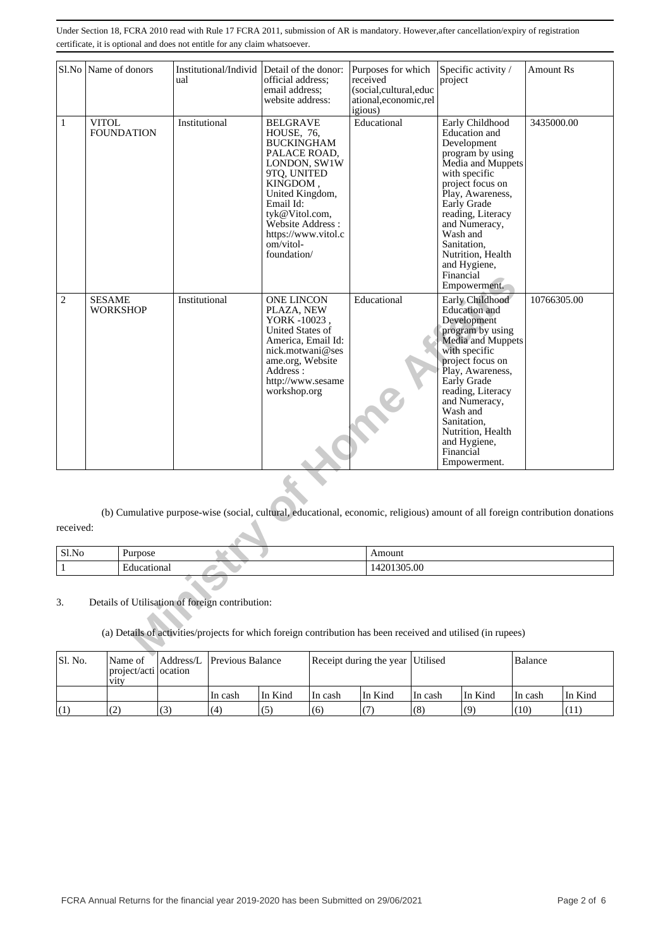|                | Sl.No Name of donors              | Institutional/Individ Detail of the donor:<br>ual                                                                                                               | official address;<br>email address:<br>website address:                                                                                                                                                                                | Purposes for which<br>received<br>(social,cultural,educ<br>ational, economic, rel<br>igious) | Specific activity /<br>project                                                                                                                                                                                                                                                                             | <b>Amount Rs</b> |
|----------------|-----------------------------------|-----------------------------------------------------------------------------------------------------------------------------------------------------------------|----------------------------------------------------------------------------------------------------------------------------------------------------------------------------------------------------------------------------------------|----------------------------------------------------------------------------------------------|------------------------------------------------------------------------------------------------------------------------------------------------------------------------------------------------------------------------------------------------------------------------------------------------------------|------------------|
| $\mathbf{1}$   | <b>VITOL</b><br><b>FOUNDATION</b> | Institutional                                                                                                                                                   | <b>BELGRAVE</b><br>HOUSE, 76,<br><b>BUCKINGHAM</b><br>PALACE ROAD,<br>LONDON, SW1W<br>9TQ, UNITED<br>KINGDOM,<br>United Kingdom,<br>Email Id:<br>tyk@Vitol.com,<br>Website Address:<br>https://www.vitol.c<br>om/vitol-<br>foundation/ | Educational                                                                                  | Early Childhood<br>Education and<br>Development<br>program by using<br>Media and Muppets<br>with specific<br>project focus on<br>Play, Awareness,<br>Early Grade<br>reading, Literacy<br>and Numeracy,<br>Wash and<br>Sanitation,<br>Nutrition, Health<br>and Hygiene,<br>Financial<br>Empowerment.        | 3435000.00       |
| $\overline{c}$ | <b>SESAME</b><br><b>WORKSHOP</b>  | Institutional                                                                                                                                                   | <b>ONE LINCON</b><br>PLAZA, NEW<br>YORK -10023,<br>United States of<br>America, Email Id:<br>nick.motwani@ses<br>ame.org, Website<br>Address:<br>http://www.sesame<br>workshop.org                                                     | Educational                                                                                  | Early Childhood<br><b>Education</b> and<br>Development<br>program by using<br>Media and Muppets<br>with specific<br>project focus on<br>Play, Awareness,<br>Early Grade<br>reading, Literacy<br>and Numeracy,<br>Wash and<br>Sanitation,<br>Nutrition, Health<br>and Hygiene,<br>Financial<br>Empowerment. | 10766305.00      |
| received:      |                                   | (b) Cumulative purpose-wise (social, cultural, educational, economic, religious) amount of all foreign contribution donations                                   |                                                                                                                                                                                                                                        |                                                                                              |                                                                                                                                                                                                                                                                                                            |                  |
| Sl.No          | Purpose                           |                                                                                                                                                                 |                                                                                                                                                                                                                                        | Amount                                                                                       |                                                                                                                                                                                                                                                                                                            |                  |
| $\mathbf{1}$   | Educational                       |                                                                                                                                                                 |                                                                                                                                                                                                                                        | 14201305.00                                                                                  |                                                                                                                                                                                                                                                                                                            |                  |
| 3.             |                                   | Details of Utilisation of foreign contribution:<br>(a) Details of activities/projects for which foreign contribution has been received and utilised (in rupees) |                                                                                                                                                                                                                                        |                                                                                              |                                                                                                                                                                                                                                                                                                            |                  |

| Sl.No | Purpose      | Amount        |
|-------|--------------|---------------|
|       | ucationa<br> | 305.00<br>70T |

| Sl. No. | Name of<br>project/acti ocation<br><b>V1tV</b> |    | Address/L Previous Balance |         | Receipt during the year Utilised |         | Balance |         |         |         |
|---------|------------------------------------------------|----|----------------------------|---------|----------------------------------|---------|---------|---------|---------|---------|
|         |                                                |    | In cash                    | In Kind | In cash                          | In Kind | In cash | In Kind | In cash | In Kind |
| (1)     | (2)<br>∸                                       | 13 | (4)                        | (5)     | (6)                              |         | (8)     | (9)     | (10)    | (11)    |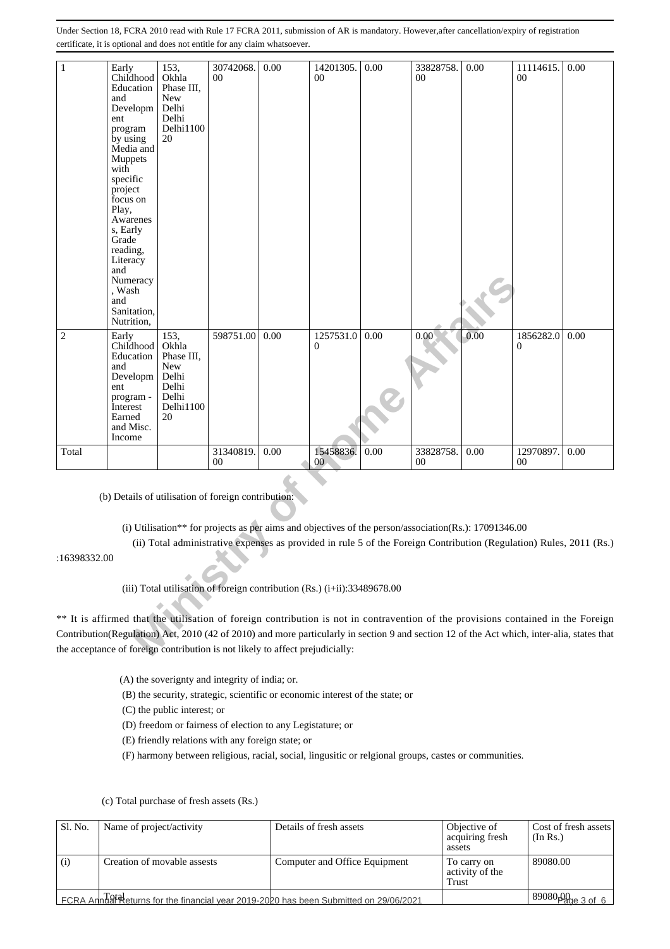| $\mathbf{1}$   | Early<br>Childhood<br>Education<br>and<br>Developm<br>ent<br>program<br>by using<br>Media and<br>Muppets<br>with<br>specific<br>project<br>focus on<br>Play,<br>Awarenes<br>s, Early<br>Grade<br>reading,<br>Literacy<br>and<br>Numeracy<br>, Wash<br>and | 153,<br>Okhla<br>Phase III,<br><b>New</b><br>Delhi<br>Delhi<br>Delhi1100<br>20                                                       | 30742068.<br>0 <sup>0</sup> | 0.00 | 14201305.<br>$00\,$                                                                                                                                                                                                                                                                                                                                                                                                                                                                                                                                                                          | 0.00 | 33828758.<br>00 | 0.00 | 11114615.<br>00 | 0.00 |
|----------------|-----------------------------------------------------------------------------------------------------------------------------------------------------------------------------------------------------------------------------------------------------------|--------------------------------------------------------------------------------------------------------------------------------------|-----------------------------|------|----------------------------------------------------------------------------------------------------------------------------------------------------------------------------------------------------------------------------------------------------------------------------------------------------------------------------------------------------------------------------------------------------------------------------------------------------------------------------------------------------------------------------------------------------------------------------------------------|------|-----------------|------|-----------------|------|
|                | Sanitation,<br>Nutrition,                                                                                                                                                                                                                                 |                                                                                                                                      |                             |      |                                                                                                                                                                                                                                                                                                                                                                                                                                                                                                                                                                                              |      |                 |      |                 |      |
| $\overline{c}$ | Early<br>Childhood<br>Education<br>and<br>Developm<br>ent<br>program -<br>Interest<br>Earned<br>and Misc.<br>Income                                                                                                                                       | 153,<br>Okhla<br>Phase III,<br>New<br>Delhi<br>Delhi<br>Delhi<br>Delhi1100<br>20                                                     | 598751.00                   | 0.00 | 1257531.0<br>0                                                                                                                                                                                                                                                                                                                                                                                                                                                                                                                                                                               | 0.00 | 0.00            | 0.00 | 1856282.0<br>0  | 0.00 |
| Total          |                                                                                                                                                                                                                                                           |                                                                                                                                      | 31340819.<br>00             | 0.00 | 15458836.                                                                                                                                                                                                                                                                                                                                                                                                                                                                                                                                                                                    | 0.00 | 33828758.<br>00 | 0.00 | 12970897.<br>00 | 0.00 |
|                |                                                                                                                                                                                                                                                           |                                                                                                                                      |                             |      | 00 <sup>°</sup>                                                                                                                                                                                                                                                                                                                                                                                                                                                                                                                                                                              |      |                 |      |                 |      |
| :16398332.00   |                                                                                                                                                                                                                                                           | (b) Details of utilisation of foreign contribution:<br>the acceptance of foreign contribution is not likely to affect prejudicially: |                             |      | (i) Utilisation** for projects as per aims and objectives of the person/association(Rs.): 17091346.00<br>(ii) Total administrative expenses as provided in rule 5 of the Foreign Contribution (Regulation) Rules, 2011 (Rs.)<br>(iii) Total utilisation of foreign contribution (Rs.) (i+ii):33489678.00<br>** It is affirmed that the utilisation of foreign contribution is not in contravention of the provisions contained in the Foreign<br>Contribution(Regulation) Act, 2010 (42 of 2010) and more particularly in section 9 and section 12 of the Act which, inter-alia, states that |      |                 |      |                 |      |
|                |                                                                                                                                                                                                                                                           | (A) the soverignty and integrity of india; or.                                                                                       |                             |      |                                                                                                                                                                                                                                                                                                                                                                                                                                                                                                                                                                                              |      |                 |      |                 |      |
|                |                                                                                                                                                                                                                                                           |                                                                                                                                      |                             |      | (B) the security, strategic, scientific or economic interest of the state; or                                                                                                                                                                                                                                                                                                                                                                                                                                                                                                                |      |                 |      |                 |      |
|                |                                                                                                                                                                                                                                                           | (C) the public interest; or                                                                                                          |                             |      |                                                                                                                                                                                                                                                                                                                                                                                                                                                                                                                                                                                              |      |                 |      |                 |      |
|                |                                                                                                                                                                                                                                                           | (D) freedom or fairness of election to any Legistature; or                                                                           |                             |      |                                                                                                                                                                                                                                                                                                                                                                                                                                                                                                                                                                                              |      |                 |      |                 |      |
|                |                                                                                                                                                                                                                                                           | (E) friendly relations with any foreign state; or                                                                                    |                             |      |                                                                                                                                                                                                                                                                                                                                                                                                                                                                                                                                                                                              |      |                 |      |                 |      |
|                |                                                                                                                                                                                                                                                           |                                                                                                                                      |                             |      | (F) harmony between religious, racial, social, lingusitic or relgional groups, castes or communities.                                                                                                                                                                                                                                                                                                                                                                                                                                                                                        |      |                 |      |                 |      |
|                |                                                                                                                                                                                                                                                           | (c) Total purchase of fresh assets (Rs.)                                                                                             |                             |      |                                                                                                                                                                                                                                                                                                                                                                                                                                                                                                                                                                                              |      |                 |      |                 |      |

| Sl. No. | Name of project/activity                                                              | Details of fresh assets       | Objective of<br>acquiring fresh<br>assets | Cost of fresh assets<br>(In Rs.) |
|---------|---------------------------------------------------------------------------------------|-------------------------------|-------------------------------------------|----------------------------------|
| (i)     | Creation of movable assests                                                           | Computer and Office Equipment | To carry on<br>activity of the<br>Trust   | 89080.00                         |
|         | FCRA AnnUal Returns for the financial year 2019-2020 has been Submitted on 29/06/2021 |                               |                                           | $189080p_{\text{2ge 3 of 6}}$    |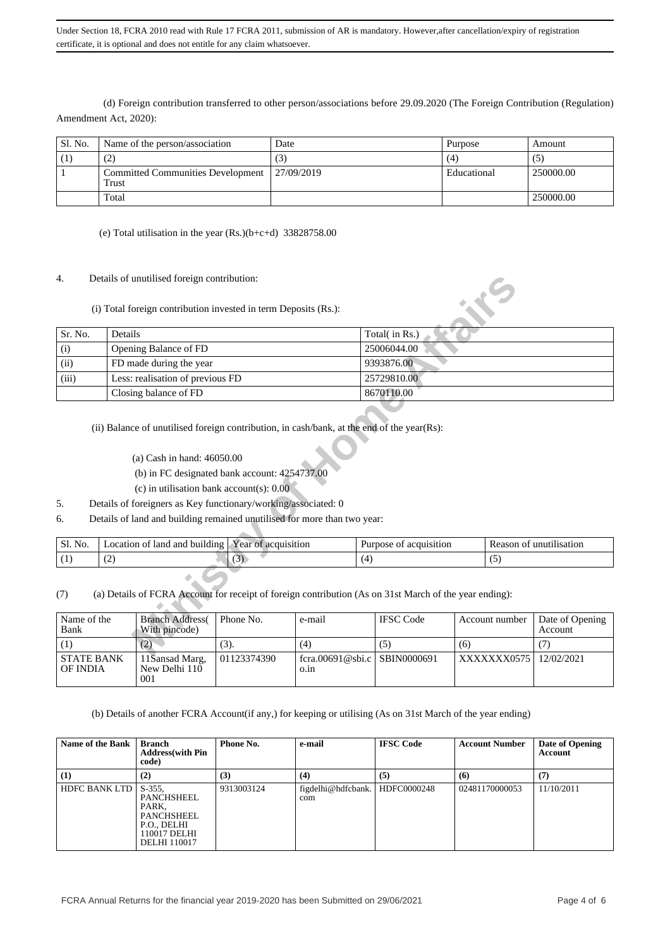(d) Foreign contribution transferred to other person/associations before 29.09.2020 (The Foreign Contribution (Regulation) Amendment Act, 2020):

| Sl. No. | Name of the person/association                    | Date        | Purpose     | Amount    |
|---------|---------------------------------------------------|-------------|-------------|-----------|
|         | (2                                                | (3)         | (4)         | $\circ$   |
|         | <b>Committed Communities Development</b><br>Trust | 127/09/2019 | Educational | 250000.00 |
|         | Total                                             |             |             | 250000.00 |

(e) Total utilisation in the year  $(Rs.)(b+c+d)$  33828758.00

4. Details of unutilised foreign contribution:

| 4.          |                                                                                                                                                                                                                                                            | Details of unutilised foreign contribution:<br>(i) Total foreign contribution invested in term Deposits (Rs.):                                                                                                                                                                                                                                                        |                     |     |     |                        |     |     |                         |
|-------------|------------------------------------------------------------------------------------------------------------------------------------------------------------------------------------------------------------------------------------------------------------|-----------------------------------------------------------------------------------------------------------------------------------------------------------------------------------------------------------------------------------------------------------------------------------------------------------------------------------------------------------------------|---------------------|-----|-----|------------------------|-----|-----|-------------------------|
| Sr. No.     | Details                                                                                                                                                                                                                                                    |                                                                                                                                                                                                                                                                                                                                                                       |                     |     |     | Total(in Rs.)          |     |     |                         |
| (i)         | Opening Balance of FD                                                                                                                                                                                                                                      |                                                                                                                                                                                                                                                                                                                                                                       |                     |     |     | 25006044.00            |     |     |                         |
| (ii)        | FD made during the year                                                                                                                                                                                                                                    |                                                                                                                                                                                                                                                                                                                                                                       |                     |     |     | 9393876.00             |     |     |                         |
| (iii)       |                                                                                                                                                                                                                                                            | Less: realisation of previous FD                                                                                                                                                                                                                                                                                                                                      |                     |     |     | 25729810.00            |     |     |                         |
|             |                                                                                                                                                                                                                                                            | Closing balance of FD                                                                                                                                                                                                                                                                                                                                                 |                     |     |     | 8670110.00             |     |     |                         |
| 5.<br>6.    |                                                                                                                                                                                                                                                            | (ii) Balance of unutilised foreign contribution, in cash/bank, at the end of the year(Rs):<br>(a) Cash in hand: 46050.00<br>(b) in FC designated bank account: 4254737.00<br>(c) in utilisation bank account(s): $0.00$<br>Details of foreigners as Key functionary/working/associated: 0<br>Details of land and building remained unutilised for more than two year: |                     |     |     |                        |     |     |                         |
| Sl. No.     |                                                                                                                                                                                                                                                            | Location of land and building                                                                                                                                                                                                                                                                                                                                         | Year of acquisition |     |     | Purpose of acquisition |     |     | Reason of unutilisation |
| (1)         | (2)                                                                                                                                                                                                                                                        |                                                                                                                                                                                                                                                                                                                                                                       | (3)                 |     | (4) |                        |     | (5) |                         |
| (7)<br>Bank | (a) Details of FCRA Account for receipt of foreign contribution (As on 31st March of the year ending):<br><b>Branch Address</b><br>Name of the<br>Phone No.<br><b>IFSC</b> Code<br>Account number<br>Date of Opening<br>e-mail<br>With pincode)<br>Account |                                                                                                                                                                                                                                                                                                                                                                       |                     |     |     |                        |     |     |                         |
| (1)         |                                                                                                                                                                                                                                                            | (2)                                                                                                                                                                                                                                                                                                                                                                   | (3).                | (4) |     | (5)                    | (6) |     | (7)                     |
|             |                                                                                                                                                                                                                                                            |                                                                                                                                                                                                                                                                                                                                                                       |                     |     |     |                        |     |     |                         |

- (c) in utilisation bank account(s): 0.00
- 5. Details of foreigners as Key functionary/working/associated: 0
- 6. Details of land and building remained unutilised for more than two year:

| No.<br>C1<br>OI. | $\cdots$<br>land<br>and<br>ocation<br>building<br>ΩŤ | $\rightarrow$<br>acquisition<br>l ear<br>0t | acquisition<br>Purpose<br>ΩŤ | Reason<br>unutili<br>lisation |
|------------------|------------------------------------------------------|---------------------------------------------|------------------------------|-------------------------------|
|                  | $\overline{\phantom{a}}$                             | ຸ                                           |                              | ີ                             |

| Name of the                   | <b>Branch Address</b>                  | Phone No.   | e-mail                               | <b>IFSC</b> Code | Account number | Date of Opening |
|-------------------------------|----------------------------------------|-------------|--------------------------------------|------------------|----------------|-----------------|
| Bank                          | With pincode)                          |             |                                      |                  |                | Account         |
|                               | (2)                                    | (3).        | (4)                                  | (၁)              | (6)            |                 |
| <b>STATE BANK</b><br>OF INDIA | 11Sansad Marg,<br>New Delhi 110<br>001 | 01123374390 | fcra.00691@sbi.c SBIN0000691<br>0.1n |                  | XXXXXXX0575    | 12/02/2021      |

(b) Details of another FCRA Account(if any,) for keeping or utilising (As on 31st March of the year ending)

| <b>Name of the Bank</b> | Branch<br><b>Address</b> (with Pin<br>code)                                                          | Phone No.  | e-mail                    | <b>IFSC Code</b> | <b>Account Number</b> | Date of Opening<br>Account |
|-------------------------|------------------------------------------------------------------------------------------------------|------------|---------------------------|------------------|-----------------------|----------------------------|
| (1)                     | (2)                                                                                                  | (3)        | (4)                       | (5)              | (6)                   | (7)                        |
| <b>HDFC BANK LTD</b>    | $S-355$ .<br>PANCHSHEEL<br>PARK,<br>PANCHSHEEL<br>P.O., DELHI<br>110017 DELHI<br><b>DELHI</b> 110017 | 9313003124 | figdelhi@hdfcbank.<br>com | HDFC0000248      | 02481170000053        | 11/10/2011                 |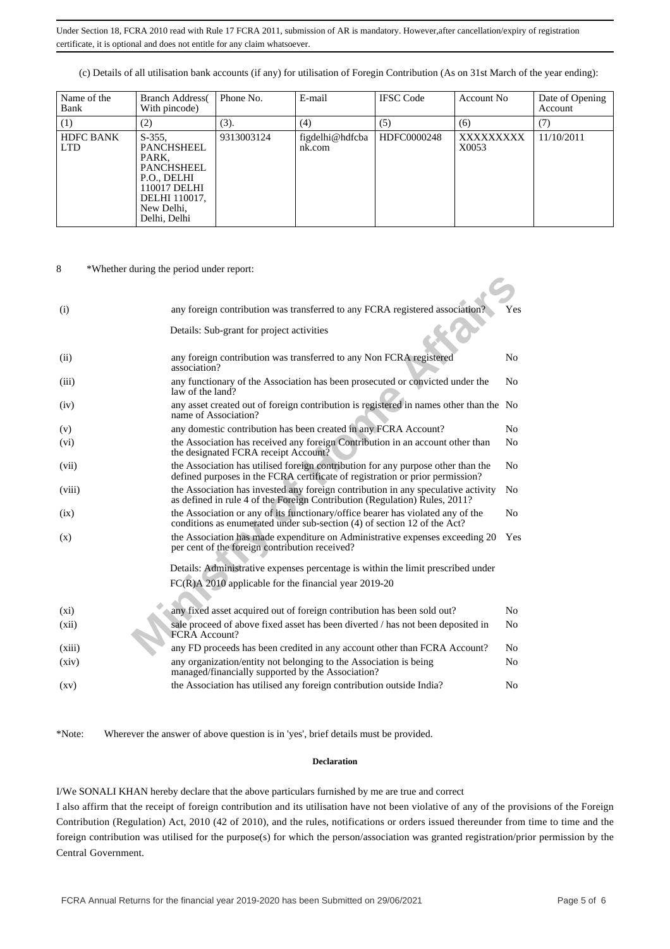(c) Details of all utilisation bank accounts (if any) for utilisation of Foregin Contribution (As on 31st March of the year ending):

| Name of the<br>Bank            | <b>Branch Address</b><br>With pincode)                                                                                                     | Phone No.  | E-mail                    | <b>IFSC</b> Code | Account No         | Date of Opening<br>Account |
|--------------------------------|--------------------------------------------------------------------------------------------------------------------------------------------|------------|---------------------------|------------------|--------------------|----------------------------|
| (1)                            | (2)                                                                                                                                        | (3).       | (4)                       | (5)              | (6)                | (7)                        |
| <b>HDFC BANK</b><br><b>LTD</b> | $S-355$ ,<br><b>PANCHSHEEL</b><br>PARK,<br><b>PANCHSHEEL</b><br>P.O., DELHI<br>110017 DELHI<br>DELHI 110017,<br>New Delhi,<br>Delhi, Delhi | 9313003124 | figdelhi@hdfcba<br>nk.com | HDFC0000248      | XXXXXXXXX<br>X0053 | 11/10/2011                 |

8 \*Whether during the period under report:

| (i)                | any foreign contribution was transferred to any FCRA registered association?                                                                                      | Yes            |
|--------------------|-------------------------------------------------------------------------------------------------------------------------------------------------------------------|----------------|
|                    | Details: Sub-grant for project activities                                                                                                                         |                |
| (ii)               | any foreign contribution was transferred to any Non FCRA registered<br>association?                                                                               | N <sub>0</sub> |
| (iii)              | any functionary of the Association has been prosecuted or convicted under the<br>law of the land?                                                                 | N <sub>0</sub> |
| (iv)               | any asset created out of foreign contribution is registered in names other than the No<br>name of Association?                                                    |                |
| (v)                | any domestic contribution has been created in any FCRA Account?                                                                                                   | N <sub>0</sub> |
| (v <sub>i</sub> )  | the Association has received any foreign Contribution in an account other than<br>the designated FCRA receipt Account?                                            | N <sub>0</sub> |
| (vii)              | the Association has utilised foreign contribution for any purpose other than the<br>defined purposes in the FCRA certificate of registration or prior permission? | N <sub>0</sub> |
| (viii)             | the Association has invested any foreign contribution in any speculative activity<br>as defined in rule 4 of the Foreign Contribution (Regulation) Rules, 2011?   | No             |
| (ix)               | the Association or any of its functionary/office bearer has violated any of the<br>conditions as enumerated under sub-section (4) of section 12 of the Act?       | N <sub>0</sub> |
| (X)                | the Association has made expenditure on Administrative expenses exceeding 20<br>per cent of the foreign contribution received?                                    | Yes            |
|                    | Details: Administrative expenses percentage is within the limit prescribed under                                                                                  |                |
|                    | $FC(R)$ A 2010 applicable for the financial year 2019-20                                                                                                          |                |
| $(x_i)$            | any fixed asset acquired out of foreign contribution has been sold out?                                                                                           | N <sub>0</sub> |
| (xii)              | sale proceed of above fixed asset has been diverted / has not been deposited in                                                                                   | No             |
|                    | FCRA Account?                                                                                                                                                     |                |
| (xiii)             | any FD proceeds has been credited in any account other than FCRA Account?                                                                                         | N <sub>0</sub> |
| (xiv)              | any organization/entity not belonging to the Association is being<br>managed/financially supported by the Association?                                            | No             |
| $\left( xy\right)$ | the Association has utilised any foreign contribution outside India?                                                                                              | N <sub>0</sub> |

\*Note: Wherever the answer of above question is in 'yes', brief details must be provided.

### **Declaration**

I/We SONALI KHAN hereby declare that the above particulars furnished by me are true and correct I also affirm that the receipt of foreign contribution and its utilisation have not been violative of any of the provisions of the Foreign Contribution (Regulation) Act, 2010 (42 of 2010), and the rules, notifications or orders issued thereunder from time to time and the foreign contribution was utilised for the purpose(s) for which the person/association was granted registration/prior permission by the Central Government.